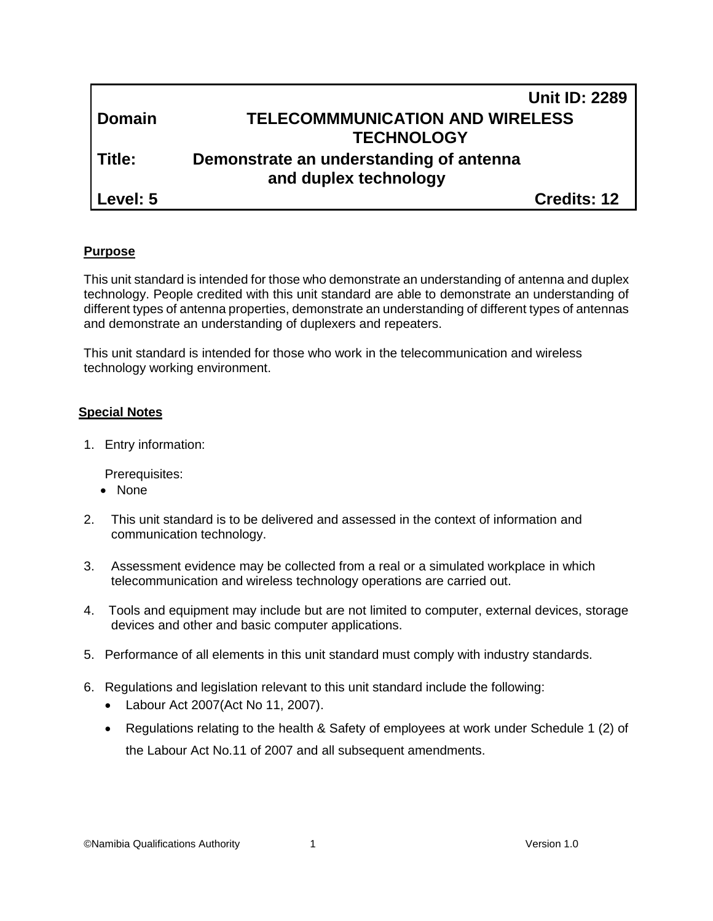|               | <b>Unit ID: 2289</b>                    |  |
|---------------|-----------------------------------------|--|
| <b>Domain</b> | <b>TELECOMMMUNICATION AND WIRELESS</b>  |  |
|               | <b>TECHNOLOGY</b>                       |  |
| l Title:      | Demonstrate an understanding of antenna |  |
|               | and duplex technology                   |  |
| Level: 5      | <b>Credits: 12</b>                      |  |

#### **Purpose**

This unit standard is intended for those who demonstrate an understanding of antenna and duplex technology. People credited with this unit standard are able to demonstrate an understanding of different types of antenna properties, demonstrate an understanding of different types of antennas and demonstrate an understanding of duplexers and repeaters.

This unit standard is intended for those who work in the telecommunication and wireless technology working environment.

#### **Special Notes**

1. Entry information:

Prerequisites:

- None
- 2. This unit standard is to be delivered and assessed in the context of information and communication technology.
- 3. Assessment evidence may be collected from a real or a simulated workplace in which telecommunication and wireless technology operations are carried out.
- 4. Tools and equipment may include but are not limited to computer, external devices, storage devices and other and basic computer applications.
- 5. Performance of all elements in this unit standard must comply with industry standards.
- 6. Regulations and legislation relevant to this unit standard include the following:
	- Labour Act 2007(Act No 11, 2007).
	- Regulations relating to the health & Safety of employees at work under Schedule 1 (2) of the Labour Act No.11 of 2007 and all subsequent amendments.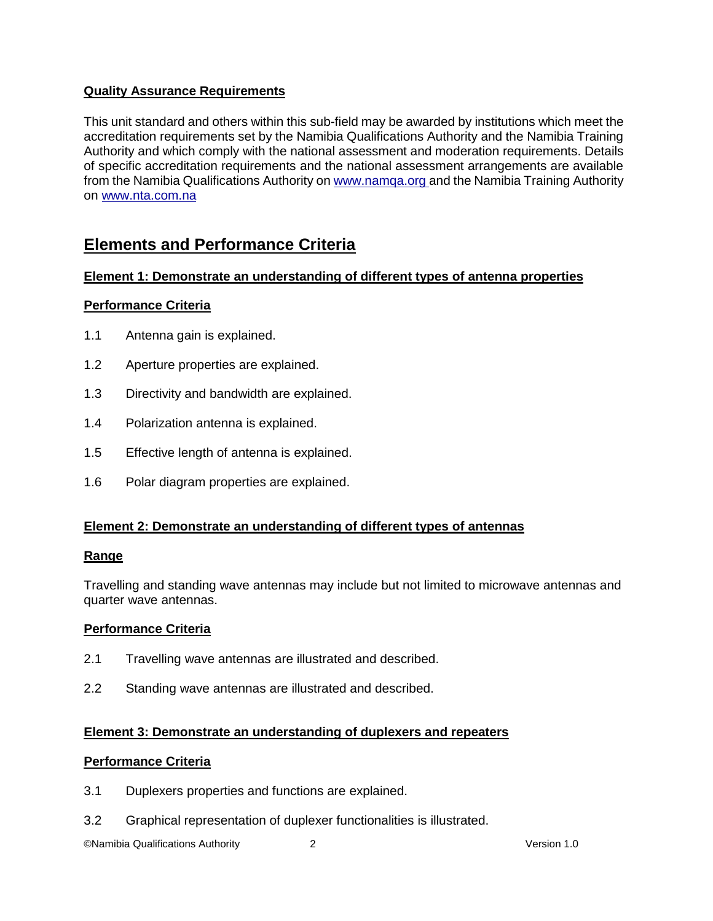### **Quality Assurance Requirements**

This unit standard and others within this sub-field may be awarded by institutions which meet the accreditation requirements set by the Namibia Qualifications Authority and the Namibia Training Authority and which comply with the national assessment and moderation requirements. Details of specific accreditation requirements and the national assessment arrangements are available from the Namibia Qualifications Authority o[n www.namqa.org a](http://www.namqa.org/)nd the Namibia Training Authority on [www.nta.com.na](http://www.nta.com.na/)

## **Elements and Performance Criteria**

#### **Element 1: Demonstrate an understanding of different types of antenna properties**

#### **Performance Criteria**

- 1.1 Antenna gain is explained.
- 1.2 Aperture properties are explained.
- 1.3 Directivity and bandwidth are explained.
- 1.4 Polarization antenna is explained.
- 1.5 Effective length of antenna is explained.
- 1.6 Polar diagram properties are explained.

#### **Element 2: Demonstrate an understanding of different types of antennas**

#### **Range**

Travelling and standing wave antennas may include but not limited to microwave antennas and quarter wave antennas.

#### **Performance Criteria**

- 2.1 Travelling wave antennas are illustrated and described.
- 2.2 Standing wave antennas are illustrated and described.

#### **Element 3: Demonstrate an understanding of duplexers and repeaters**

#### **Performance Criteria**

- 3.1 Duplexers properties and functions are explained.
- 3.2 Graphical representation of duplexer functionalities is illustrated.